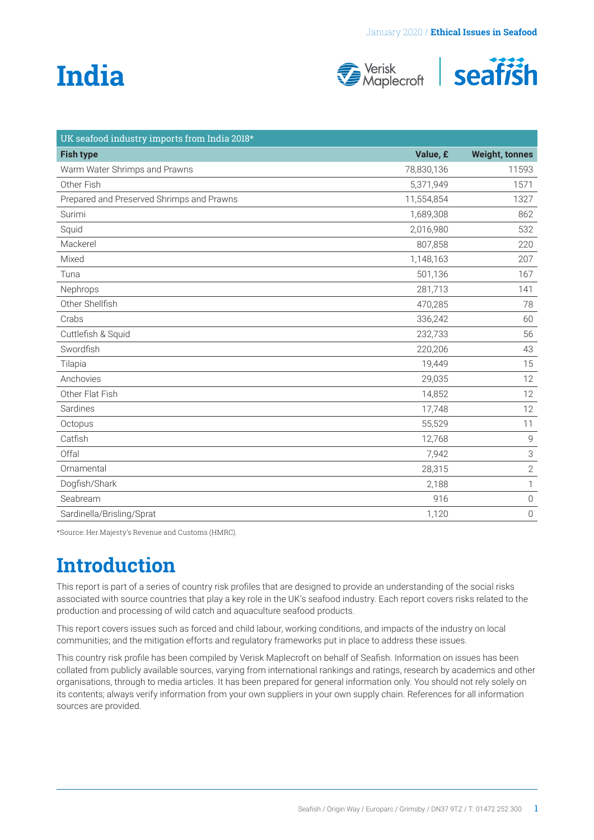# **India**





| UK seafood industry imports from India 2018* |            |                           |
|----------------------------------------------|------------|---------------------------|
| <b>Fish type</b>                             | Value, £   | <b>Weight, tonnes</b>     |
| Warm Water Shrimps and Prawns                | 78,830,136 | 11593                     |
| Other Fish                                   | 5,371,949  | 1571                      |
| Prepared and Preserved Shrimps and Prawns    | 11,554,854 | 1327                      |
| Surimi                                       | 1,689,308  | 862                       |
| Squid                                        | 2,016,980  | 532                       |
| Mackerel                                     | 807,858    | 220                       |
| Mixed                                        | 1,148,163  | 207                       |
| Tuna                                         | 501,136    | 167                       |
| Nephrops                                     | 281,713    | 141                       |
| Other Shellfish                              | 470,285    | 78                        |
| Crabs                                        | 336,242    | 60                        |
| Cuttlefish & Squid                           | 232,733    | 56                        |
| Swordfish                                    | 220,206    | 43                        |
| Tilapia                                      | 19,449     | 15                        |
| Anchovies                                    | 29,035     | 12                        |
| Other Flat Fish                              | 14,852     | 12                        |
| Sardines                                     | 17,748     | 12                        |
| Octopus                                      | 55,529     | 11                        |
| Catfish                                      | 12,768     | $\mathsf g$               |
| Offal                                        | 7,942      | $\ensuremath{\mathsf{3}}$ |
| Ornamental                                   | 28,315     | $\mathbf{2}$              |
| Dogfish/Shark                                | 2,188      | $\mathbf{1}$              |
| Seabream                                     | 916        | $\mathbb O$               |
| Sardinella/Brisling/Sprat                    | 1,120      | $\mathbb O$               |

\*Source: Her Majesty's Revenue and Customs (HMRC).

## **Introduction**

This report is part of a series of country risk profiles that are designed to provide an understanding of the social risks associated with source countries that play a key role in the UK's seafood industry. Each report covers risks related to the production and processing of wild catch and aquaculture seafood products.

This report covers issues such as forced and child labour, working conditions, and impacts of the industry on local communities; and the mitigation efforts and regulatory frameworks put in place to address these issues.

This country risk profile has been compiled by Verisk Maplecroft on behalf of Seafish. Information on issues has been collated from publicly available sources, varying from international rankings and ratings, research by academics and other organisations, through to media articles. It has been prepared for general information only. You should not rely solely on its contents; always verify information from your own suppliers in your own supply chain. References for all information sources are provided.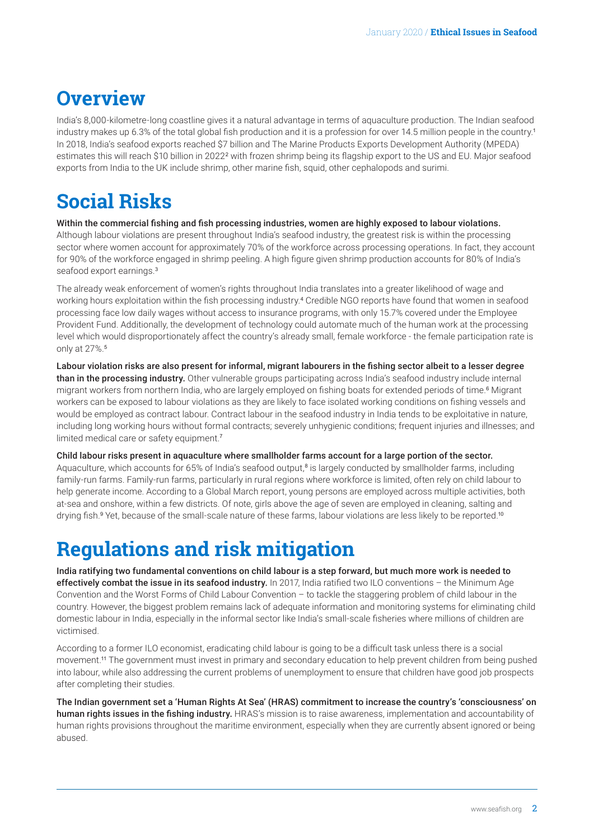### <span id="page-1-0"></span>**Overview**

India's 8,000-kilometre-long coastline gives it a natural advantage in terms of aquaculture production. The Indian seafood industry makes up 6.3% of the total global fish production and it is a profession for over 14.5 million people in the country.[1](#page-4-0) In 2018, India's seafood exports reached \$7 billion and The Marine Products Exports Development Authority (MPEDA) estimates this will reach \$10 billion in [2](#page-4-0)022<sup>2</sup> with frozen shrimp being its flagship export to the US and EU. Major seafood exports from India to the UK include shrimp, other marine fish, squid, other cephalopods and surimi.

### **Social Risks**

Within the commercial fishing and fish processing industries, women are highly exposed to labour violations.

Although labour violations are present throughout India's seafood industry, the greatest risk is within the processing sector where women account for approximately 70% of the workforce across processing operations. In fact, they account for 90% of the workforce engaged in shrimp peeling. A high figure given shrimp production accounts for 80% of India's seafood export earnings.<sup>[3](#page-4-0)</sup>

The already weak enforcement of women's rights throughout India translates into a greater likelihood of wage and working hours exploitation within the fish processing industry.[4](#page-4-0) Credible NGO reports have found that women in seafood processing face low daily wages without access to insurance programs, with only 15.7% covered under the Employee Provident Fund. Additionally, the development of technology could automate much of the human work at the processing level which would disproportionately affect the country's already small, female workforce - the female participation rate is only at 27%.<sup>[5](#page-4-0)</sup>

Labour violation risks are also present for informal, migrant labourers in the fishing sector albeit to a lesser degree than in the processing industry. Other vulnerable groups participating across India's seafood industry include internal migrant workers from northern India, who are largely employed on fishing boats for extended periods of time.<sup>[6](#page-4-0)</sup> Migrant workers can be exposed to labour violations as they are likely to face isolated working conditions on fishing vessels and would be employed as contract labour. Contract labour in the seafood industry in India tends to be exploitative in nature, including long working hours without formal contracts; severely unhygienic conditions; frequent injuries and illnesses; and limited medical care or safety equipment.[7](#page-4-0)

Child labour risks present in aquaculture where smallholder farms account for a large portion of the sector. Aquaculture, which accounts for 65% of India's seafood output,<sup>[8](#page-4-0)</sup> is largely conducted by smallholder farms, including family-run farms. Family-run farms, particularly in rural regions where workforce is limited, often rely on child labour to help generate income. According to a Global March report, young persons are employed across multiple activities, both at-sea and onshore, within a few districts. Of note, girls above the age of seven are employed in cleaning, salting and drying fish.º Yet, because of the small-scale nature of these farms, labour violations are less likely to be reported.[10](#page-4-0)

### **Regulations and risk mitigation**

India ratifying two fundamental conventions on child labour is a step forward, but much more work is needed to effectively combat the issue in its seafood industry. In 2017, India ratified two ILO conventions - the Minimum Age Convention and the Worst Forms of Child Labour Convention – to tackle the staggering problem of child labour in the country. However, the biggest problem remains lack of adequate information and monitoring systems for eliminating child domestic labour in India, especially in the informal sector like India's small-scale fisheries where millions of children are victimised.

According to a former ILO economist, eradicating child labour is going to be a difficult task unless there is a social movement.<sup>[11](#page-4-0)</sup> The government must invest in primary and secondary education to help prevent children from being pushed into labour, while also addressing the current problems of unemployment to ensure that children have good job prospects after completing their studies.

The Indian government set a 'Human Rights At Sea' (HRAS) commitment to increase the country's 'consciousness' on human rights issues in the fishing industry. HRAS's mission is to raise awareness, implementation and accountability of human rights provisions throughout the maritime environment, especially when they are currently absent ignored or being abused.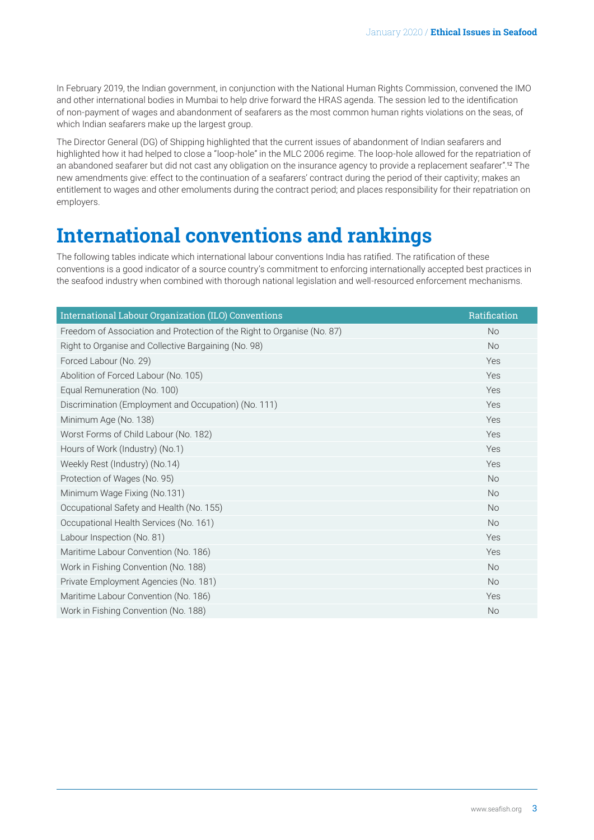<span id="page-2-0"></span>In February 2019, the Indian government, in conjunction with the National Human Rights Commission, convened the IMO and other international bodies in Mumbai to help drive forward the HRAS agenda. The session led to the identification of non-payment of wages and abandonment of seafarers as the most common human rights violations on the seas, of which Indian seafarers make up the largest group.

The Director General (DG) of Shipping highlighted that the current issues of abandonment of Indian seafarers and highlighted how it had helped to close a "loop-hole" in the MLC 2006 regime. The loop-hole allowed for the repatriation of an abandoned seafarer but did not cast any obligation on the insurance agency to provide a replacement seafarer".[12](#page-4-0) The new amendments give: effect to the continuation of a seafarers' contract during the period of their captivity; makes an entitlement to wages and other emoluments during the contract period; and places responsibility for their repatriation on employers.

### **International conventions and rankings**

The following tables indicate which international labour conventions India has ratified. The ratification of these conventions is a good indicator of a source country's commitment to enforcing internationally accepted best practices in the seafood industry when combined with thorough national legislation and well-resourced enforcement mechanisms.

| International Labour Organization (ILO) Conventions                     | Ratification |
|-------------------------------------------------------------------------|--------------|
| Freedom of Association and Protection of the Right to Organise (No. 87) | No           |
| Right to Organise and Collective Bargaining (No. 98)                    | <b>No</b>    |
| Forced Labour (No. 29)                                                  | Yes          |
| Abolition of Forced Labour (No. 105)                                    | Yes          |
| Equal Remuneration (No. 100)                                            | Yes          |
| Discrimination (Employment and Occupation) (No. 111)                    | Yes          |
| Minimum Age (No. 138)                                                   | Yes          |
| Worst Forms of Child Labour (No. 182)                                   | Yes          |
| Hours of Work (Industry) (No.1)                                         | Yes          |
| Weekly Rest (Industry) (No.14)                                          | Yes          |
| Protection of Wages (No. 95)                                            | No           |
| Minimum Wage Fixing (No.131)                                            | No           |
| Occupational Safety and Health (No. 155)                                | <b>No</b>    |
| Occupational Health Services (No. 161)                                  | No           |
| Labour Inspection (No. 81)                                              | Yes          |
| Maritime Labour Convention (No. 186)                                    | Yes          |
| Work in Fishing Convention (No. 188)                                    | <b>No</b>    |
| Private Employment Agencies (No. 181)                                   | No           |
| Maritime Labour Convention (No. 186)                                    | Yes          |
| Work in Fishing Convention (No. 188)                                    | <b>No</b>    |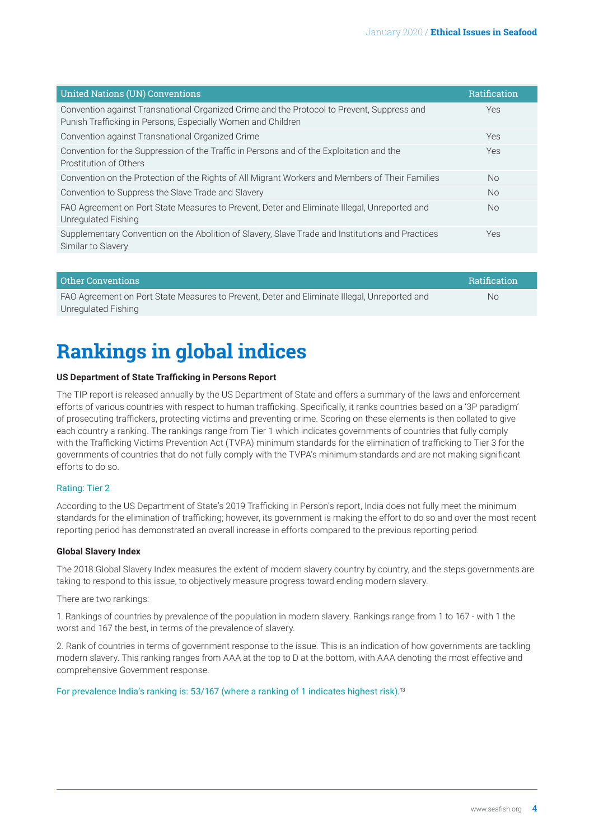<span id="page-3-0"></span>

| <b>United Nations (UN) Conventions</b>                                                                                                                     | Ratification |
|------------------------------------------------------------------------------------------------------------------------------------------------------------|--------------|
| Convention against Transnational Organized Crime and the Protocol to Prevent, Suppress and<br>Punish Trafficking in Persons, Especially Women and Children | Yes          |
| Convention against Transnational Organized Crime                                                                                                           | Yes          |
| Convention for the Suppression of the Traffic in Persons and of the Exploitation and the<br>Prostitution of Others                                         | <b>Yes</b>   |
| Convention on the Protection of the Rights of All Migrant Workers and Members of Their Families                                                            | <b>No</b>    |
| Convention to Suppress the Slave Trade and Slavery                                                                                                         | No.          |
| FAO Agreement on Port State Measures to Prevent, Deter and Eliminate Illegal, Unreported and<br>Unregulated Fishing                                        | <b>No</b>    |
| Supplementary Convention on the Abolition of Slavery, Slave Trade and Institutions and Practices<br>Similar to Slavery                                     | Yes          |

| Other Conventions                                                                            | <b>Ratification</b> |
|----------------------------------------------------------------------------------------------|---------------------|
| FAO Agreement on Port State Measures to Prevent, Deter and Eliminate Illegal, Unreported and | No.                 |
| Unregulated Fishing                                                                          |                     |

# **Rankings in global indices**

#### **US Department of State Trafficking in Persons Report**

The TIP report is released annually by the US Department of State and offers a summary of the laws and enforcement efforts of various countries with respect to human trafficking. Specifically, it ranks countries based on a '3P paradigm' of prosecuting traffickers, protecting victims and preventing crime. Scoring on these elements is then collated to give each country a ranking. The rankings range from Tier 1 which indicates governments of countries that fully comply with the Trafficking Victims Prevention Act (TVPA) minimum standards for the elimination of trafficking to Tier 3 for the governments of countries that do not fully comply with the TVPA's minimum standards and are not making significant efforts to do so.

#### Rating: Tier 2

According to the US Department of State's 2019 Trafficking in Person's report, India does not fully meet the minimum standards for the elimination of trafficking; however, its government is making the effort to do so and over the most recent reporting period has demonstrated an overall increase in efforts compared to the previous reporting period.

#### **Global Slavery Index**

The 2018 Global Slavery Index measures the extent of modern slavery country by country, and the steps governments are taking to respond to this issue, to objectively measure progress toward ending modern slavery.

There are two rankings:

1. Rankings of countries by prevalence of the population in modern slavery. Rankings range from 1 to 167 - with 1 the worst and 167 the best, in terms of the prevalence of slavery.

2. Rank of countries in terms of government response to the issue. This is an indication of how governments are tackling modern slavery. This ranking ranges from AAA at the top to D at the bottom, with AAA denoting the most effective and comprehensive Government response.

For prevalence India's ranking is: 53/167 (where a ranking of 1 indicates highest risk).<sup>[13](#page-4-0)</sup>